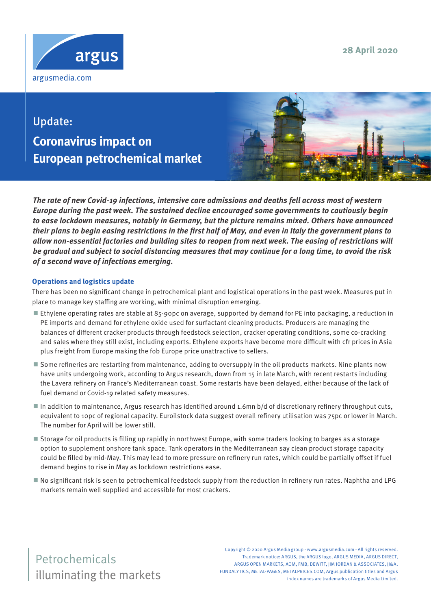**28 April 2020**



# Update: **Coronavirus impact on European petrochemical market**



**The rate of new Covid-19 infections, intensive care admissions and deaths fell across most of western Europe during the past week. The sustained decline encouraged some governments to cautiously begin to ease lockdown measures, notably in Germany, but the picture remains mixed. Others have announced their plans to begin easing restrictions in the first half of May, and even in Italy the government plans to allow non-essential factories and building sites to reopen from next week. The easing of restrictions will be gradual and subject to social distancing measures that may continue for a long time, to avoid the risk of a second wave of infections emerging.** 

### **Operations and logistics update**

There has been no significant change in petrochemical plant and logistical operations in the past week. Measures put in place to manage key staffing are working, with minimal disruption emerging.

- Ethylene operating rates are stable at 85-90pc on average, supported by demand for PE into packaging, a reduction in PE imports and demand for ethylene oxide used for surfactant cleaning products. Producers are managing the balances of different cracker products through feedstock selection, cracker operating conditions, some co-cracking and sales where they still exist, including exports. Ethylene exports have become more difficult with cfr prices in Asia plus freight from Europe making the fob Europe price unattractive to sellers.
- Some refineries are restarting from maintenance, adding to oversupply in the oil products markets. Nine plants now have units undergoing work, according to Argus research, down from 15 in late March, with recent restarts including the Lavera refinery on France's Mediterranean coast. Some restarts have been delayed, either because of the lack of fuel demand or Covid-19 related safety measures.
- In addition to maintenance, Argus research has identified around 1.6mn b/d of discretionary refinery throughput cuts, equivalent to 10pc of regional capacity. Euroilstock data suggest overall refinery utilisation was 75pc or lower in March. The number for April will be lower still.
- Storage for oil products is filling up rapidly in northwest Europe, with some traders looking to barges as a storage option to supplement onshore tank space. Tank operators in the Mediterranean say clean product storage capacity could be filled by mid-May. This may lead to more pressure on refinery run rates, which could be partially offset if fuel demand begins to rise in May as lockdown restrictions ease.
- No significant risk is seen to petrochemical feedstock supply from the reduction in refinery run rates. Naphtha and LPG markets remain well supplied and accessible for most crackers.

illuminating the markets Petrochemicals

Copyright © 2020 Argus Media group - www.argusmedia.com - All rights reserved. Trademark notice: ARGUS, the ARGUS logo, ARGUS MEDIA, ARGUS DIRECT, ARGUS OPEN MARKETS, AOM, FMB, DEWITT, JIM JORDAN & ASSOCIATES, JJ&A, FUNDALYTICS, METAL-PAGES, METALPRICES.COM, Argus publication titles and Argus index names are trademarks of Argus Media Limited.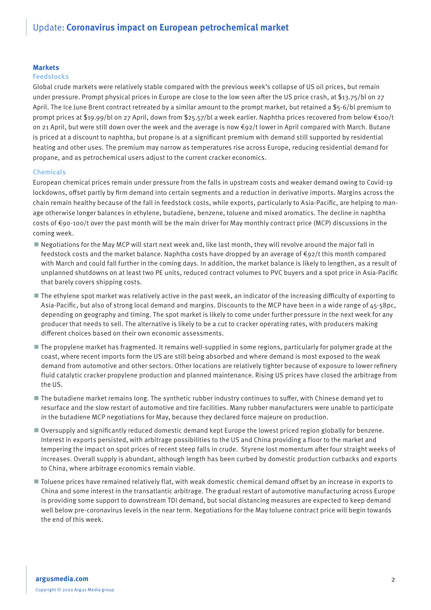#### **Markets**

#### Feedstocks

Global crude markets were relatively stable compared with the previous week's collapse of US oil prices, but remain under pressure. Prompt physical prices in Europe are close to the low seen after the US price crash, at \$13.75/bl on 27 April. The Ice June Brent contract retreated by a similar amount to the prompt market, but retained a \$5-6/bl premium to prompt prices at \$19.99/bl on 27 April, down from \$25.57/bl a week earlier. Naphtha prices recovered from below €100/t on 21 April, but were still down over the week and the average is now €92/t lower in April compared with March. Butane is priced at a discount to naphtha, but propane is at a significant premium with demand still supported by residential heating and other uses. The premium may narrow as temperatures rise across Europe, reducing residential demand for propane, and as petrochemical users adjust to the current cracker economics.

#### Chemicals

European chemical prices remain under pressure from the falls in upstream costs and weaker demand owing to Covid-19 lockdowns, offset partly by firm demand into certain segments and a reduction in derivative imports. Margins across the chain remain healthy because of the fall in feedstock costs, while exports, particularly to Asia-Pacific, are helping to manage otherwise longer balances in ethylene, butadiene, benzene, toluene and mixed aromatics. The decline in naphtha costs of €90-100/t over the past month will be the main driver for May monthly contract price (MCP) discussions in the coming week.

- Negotiations for the May MCP will start next week and, like last month, they will revolve around the major fall in feedstock costs and the market balance. Naphtha costs have dropped by an average of €92/t this month compared with March and could fall further in the coming days. In addition, the market balance is likely to lengthen, as a result of unplanned shutdowns on at least two PE units, reduced contract volumes to PVC buyers and a spot price in Asia-Pacific that barely covers shipping costs.
- The ethylene spot market was relatively active in the past week, an indicator of the increasing difficulty of exporting to Asia-Pacific, but also of strong local demand and margins. Discounts to the MCP have been in a wide range of 45-58pc, depending on geography and timing. The spot market is likely to come under further pressure in the next week for any producer that needs to sell. The alternative is likely to be a cut to cracker operating rates, with producers making different choices based on their own economic assessments.
- The propylene market has fragmented. It remains well-supplied in some regions, particularly for polymer grade at the coast, where recent imports form the US are still being absorbed and where demand is most exposed to the weak demand from automotive and other sectors. Other locations are relatively tighter because of exposure to lower refinery fluid catalytic cracker propylene production and planned maintenance. Rising US prices have closed the arbitrage from the US.
- The butadiene market remains long. The synthetic rubber industry continues to suffer, with Chinese demand yet to resurface and the slow restart of automotive and tire facilities. Many rubber manufacturers were unable to participate in the butadiene MCP negotiations for May, because they declared force majeure on production.
- Oversupply and significantly reduced domestic demand kept Europe the lowest priced region globally for benzene. Interest in exports persisted, with arbitrage possibilities to the US and China providing a floor to the market and tempering the impact on spot prices of recent steep falls in crude. Styrene lost momentum after four straight weeks of increases. Overall supply is abundant, although length has been curbed by domestic production cutbacks and exports to China, where arbitrage economics remain viable.
- Toluene prices have remained relatively flat, with weak domestic chemical demand offset by an increase in exports to China and some interest in the transatlantic arbitrage. The gradual restart of automotive manufacturing across Europe is providing some support to downstream TDI demand, but social distancing measures are expected to keep demand well below pre-coronavirus levels in the near term. Negotiations for the May toluene contract price will begin towards the end of this week.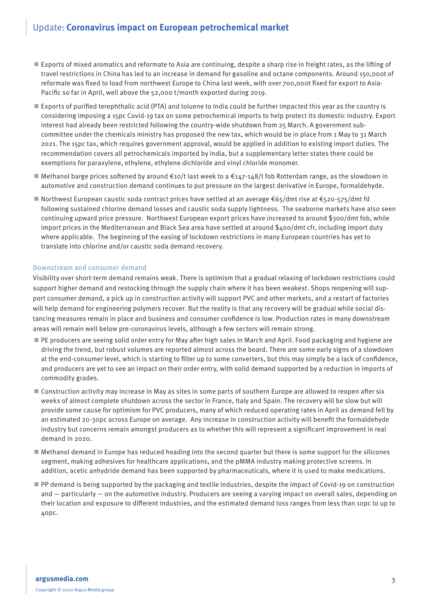## Update: **Coronavirus impact on European petrochemical market**

- Exports of mixed aromatics and reformate to Asia are continuing, despite a sharp rise in freight rates, as the lifting of travel restrictions in China has led to an increase in demand for gasoline and octane components. Around 150,000t of reformate was fixed to load from northwest Europe to China last week, with over 700,000t fixed for export to Asia-Pacific so far in April, well above the 52,000 t/month exported during 2019.
- Exports of purified terephthalic acid (PTA) and toluene to India could be further impacted this year as the country is considering imposing a 15pc Covid-19 tax on some petrochemical imports to help protect its domestic industry. Export interest had already been restricted following the country-wide shutdown from 25 March. A government subcommittee under the chemicals ministry has proposed the new tax, which would be in place from 1 May to 31 March 2021. The 15pc tax, which requires government approval, would be applied in addition to existing import duties. The recommendation covers all petrochemicals imported by India, but a supplementary letter states there could be exemptions for paraxylene, ethylene, ethylene dichloride and vinyl chloride monomer.
- Methanol barge prices softened by around €10/t last week to a €147-148/t fob Rotterdam range, as the slowdown in automotive and construction demand continues to put pressure on the largest derivative in Europe, formaldehyde.
- Northwest European caustic soda contract prices have settled at an average €65/dmt rise at €520-575/dmt fd following sustained chlorine demand losses and caustic soda supply tightness. The seaborne markets have also seen continuing upward price pressure. Northwest European export prices have increased to around \$300/dmt fob, while import prices in the Mediterranean and Black Sea area have settled at around \$400/dmt cfr, including import duty where applicable. The beginning of the easing of lockdown restrictions in many European countries has yet to translate into chlorine and/or caustic soda demand recovery.

#### Downstream and consumer demand

Visibility over short-term demand remains weak. There is optimism that a gradual relaxing of lockdown restrictions could support higher demand and restocking through the supply chain where it has been weakest. Shops reopening will support consumer demand, a pick up in construction activity will support PVC and other markets, and a restart of factories will help demand for engineering polymers recover. But the reality is that any recovery will be gradual while social distancing measures remain in place and business and consumer confidence is low. Production rates in many downstream areas will remain well below pre-coronavirus levels, although a few sectors will remain strong.

- PE producers are seeing solid order entry for May after high sales in March and April. Food packaging and hygiene are driving the trend, but robust volumes are reported almost across the board. There are some early signs of a slowdown at the end-consumer level, which is starting to filter up to some converters, but this may simply be a lack of confidence, and producers are yet to see an impact on their order entry, with solid demand supported by a reduction in imports of commodity grades.
- Construction activity may increase in May as sites in some parts of southern Europe are allowed to reopen after six weeks of almost complete shutdown across the sector in France, Italy and Spain. The recovery will be slow but will provide some cause for optimism for PVC producers, many of which reduced operating rates in April as demand fell by an estimated 20-30pc across Europe on average. Any increase in construction activity will benefit the formaldehyde industry but concerns remain amongst producers as to whether this will represent a significant improvement in real demand in 2020.
- Methanol demand in Europe has reduced heading into the second quarter but there is some support for the silicones segment, making adhesives for healthcare applications, and the pMMA industry making protective screens. In addition, acetic anhydride demand has been supported by pharmaceuticals, where it is used to make medications.
- PP demand is being supported by the packaging and textile industries, despite the impact of Covid-19 on construction and — particularly — on the automotive industry. Producers are seeing a varying impact on overall sales, depending on their location and exposure to different industries, and the estimated demand loss ranges from less than 10pc to up to 40pc.